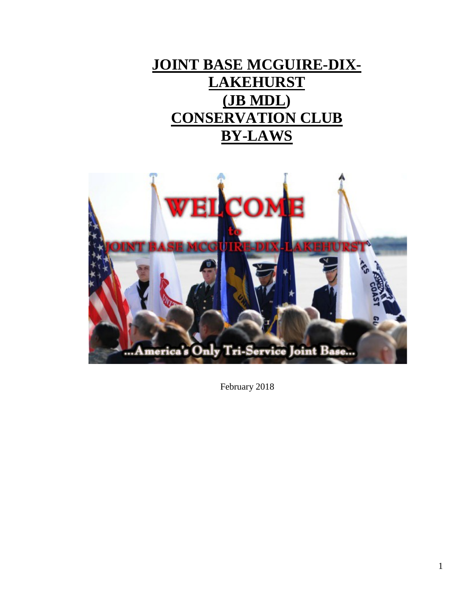# **JOINT BASE MCGUIRE-DIX-LAKEHURST (JB MDL) CONSERVATION CLUB BY-LAWS**



February 2018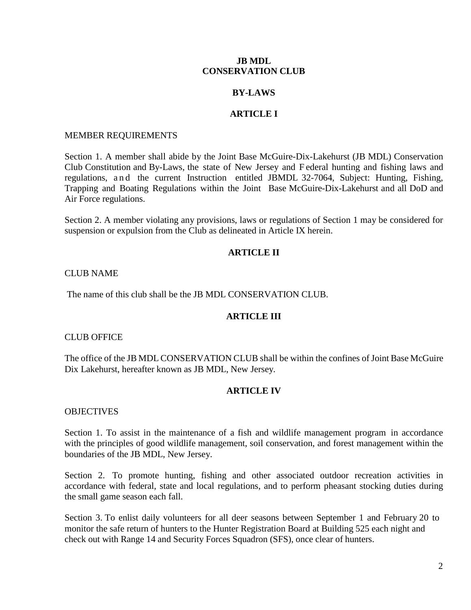## **JB MDL CONSERVATION CLUB**

#### **BY-LAWS**

## **ARTICLE I**

#### MEMBER REQUIREMENTS

Section 1. A member shall abide by the Joint Base McGuire-Dix-Lakehurst (JB MDL) Conservation Club Constitution and By-Laws, the state of New Jersey and F ederal hunting and fishing laws and regulations, and the current Instruction entitled JBMDL 32-7064, Subject: Hunting, Fishing, Trapping and Boating Regulations within the Joint Base McGuire-Dix-Lakehurst and all DoD and Air Force regulations.

Section 2. A member violating any provisions, laws or regulations of Section 1 may be considered for suspension or expulsion from the Club as delineated in Article IX herein.

#### **ARTICLE II**

#### CLUB NAME

The name of this club shall be the JB MDL CONSERVATION CLUB.

#### **ARTICLE III**

#### CLUB OFFICE

The office of the JB MDL CONSERVATION CLUB shall be within the confines of Joint Base McGuire Dix Lakehurst, hereafter known as JB MDL, New Jersey.

#### **ARTICLE IV**

#### **OBJECTIVES**

Section 1. To assist in the maintenance of a fish and wildlife management program in accordance with the principles of good wildlife management, soil conservation, and forest management within the boundaries of the JB MDL, New Jersey.

Section 2. To promote hunting, fishing and other associated outdoor recreation activities in accordance with federal, state and local regulations, and to perform pheasant stocking duties during the small game season each fall.

Section 3. To enlist daily volunteers for all deer seasons between September 1 and February 20 to monitor the safe return of hunters to the Hunter Registration Board at Building 525 each night and check out with Range 14 and Security Forces Squadron (SFS), once clear of hunters.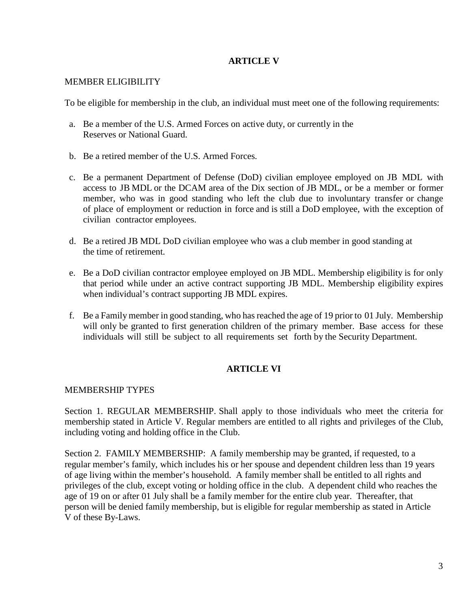# **ARTICLE V**

# MEMBER ELIGIBILITY

To be eligible for membership in the club, an individual must meet one of the following requirements:

- a. Be a member of the U.S. Armed Forces on active duty, or currently in the Reserves or National Guard.
- b. Be a retired member of the U.S. Armed Forces.
- c. Be a permanent Department of Defense (DoD) civilian employee employed on JB MDL with access to JB MDL or the DCAM area of the Dix section of JB MDL, or be a member or former member, who was in good standing who left the club due to involuntary transfer or change of place of employment or reduction in force and is still a DoD employee, with the exception of civilian contractor employees.
- d. Be a retired JB MDL DoD civilian employee who was a club member in good standing at the time of retirement.
- e. Be a DoD civilian contractor employee employed on JB MDL. Membership eligibility is for only that period while under an active contract supporting JB MDL. Membership eligibility expires when individual's contract supporting JB MDL expires.
- f. Be a Family member in good standing, who has reached the age of 19 prior to 01 July. Membership will only be granted to first generation children of the primary member. Base access for these individuals will still be subject to all requirements set forth by the Security Department.

# **ARTICLE VI**

# MEMBERSHIP TYPES

Section 1. REGULAR MEMBERSHIP. Shall apply to those individuals who meet the criteria for membership stated in Article V. Regular members are entitled to all rights and privileges of the Club, including voting and holding office in the Club.

Section 2. FAMILY MEMBERSHIP: A family membership may be granted, if requested, to a regular member's family, which includes his or her spouse and dependent children less than 19 years of age living within the member's household. A family member shall be entitled to all rights and privileges of the club, except voting or holding office in the club. A dependent child who reaches the age of 19 on or after 01 July shall be a family member for the entire club year. Thereafter, that person will be denied family membership, but is eligible for regular membership as stated in Article V of these By-Laws.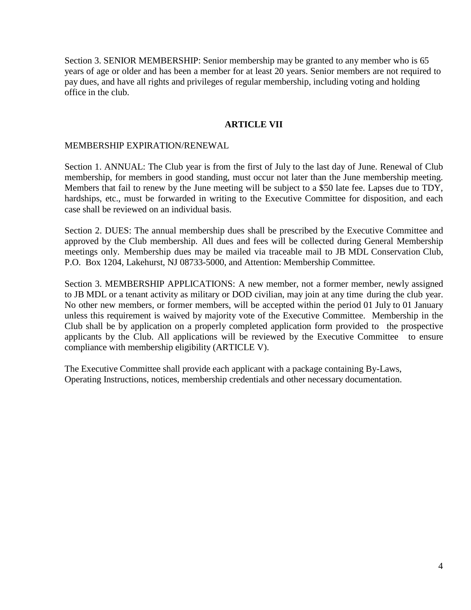Section 3. SENIOR MEMBERSHIP: Senior membership may be granted to any member who is 65 years of age or older and has been a member for at least 20 years. Senior members are not required to pay dues, and have all rights and privileges of regular membership, including voting and holding office in the club.

## **ARTICLE VII**

## MEMBERSHIP EXPIRATION/RENEWAL

Section 1. ANNUAL: The Club year is from the first of July to the last day of June. Renewal of Club membership, for members in good standing, must occur not later than the June membership meeting. Members that fail to renew by the June meeting will be subject to a \$50 late fee. Lapses due to TDY, hardships, etc., must be forwarded in writing to the Executive Committee for disposition, and each case shall be reviewed on an individual basis.

Section 2. DUES: The annual membership dues shall be prescribed by the Executive Committee and approved by the Club membership. All dues and fees will be collected during General Membership meetings only. Membership dues may be mailed via traceable mail to JB MDL Conservation Club, P.O. Box 1204, Lakehurst, NJ 08733-5000, and Attention: Membership Committee.

Section 3. MEMBERSHIP APPLICATIONS: A new member, not a former member, newly assigned to JB MDL or a tenant activity as military or DOD civilian, may join at any time during the club year. No other new members, or former members, will be accepted within the period 01 July to 01 January unless this requirement is waived by majority vote of the Executive Committee. Membership in the Club shall be by application on a properly completed application form provided to the prospective applicants by the Club. All applications will be reviewed by the Executive Committee to ensure compliance with membership eligibility (ARTICLE V).

The Executive Committee shall provide each applicant with a package containing By-Laws, Operating Instructions, notices, membership credentials and other necessary documentation.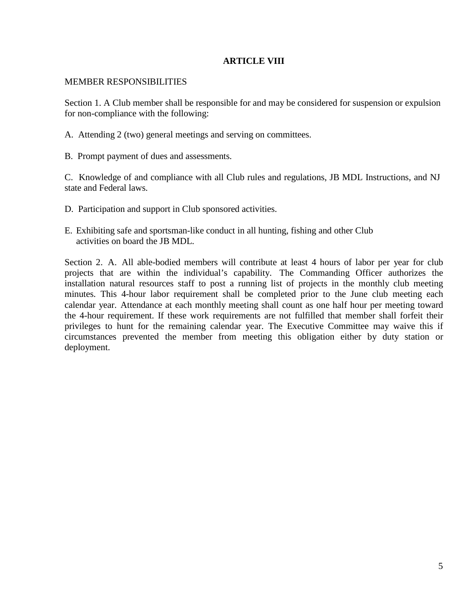## **ARTICLE VIII**

## MEMBER RESPONSIBILITIES

Section 1. A Club member shall be responsible for and may be considered for suspension or expulsion for non-compliance with the following:

- A. Attending 2 (two) general meetings and serving on committees.
- B. Prompt payment of dues and assessments.

C. Knowledge of and compliance with all Club rules and regulations, JB MDL Instructions, and NJ state and Federal laws.

- D. Participation and support in Club sponsored activities.
- E. Exhibiting safe and sportsman-like conduct in all hunting, fishing and other Club activities on board the JB MDL.

Section 2. A. All able-bodied members will contribute at least 4 hours of labor per year for club projects that are within the individual's capability. The Commanding Officer authorizes the installation natural resources staff to post a running list of projects in the monthly club meeting minutes. This 4-hour labor requirement shall be completed prior to the June club meeting each calendar year. Attendance at each monthly meeting shall count as one half hour per meeting toward the 4-hour requirement. If these work requirements are not fulfilled that member shall forfeit their privileges to hunt for the remaining calendar year. The Executive Committee may waive this if circumstances prevented the member from meeting this obligation either by duty station or deployment.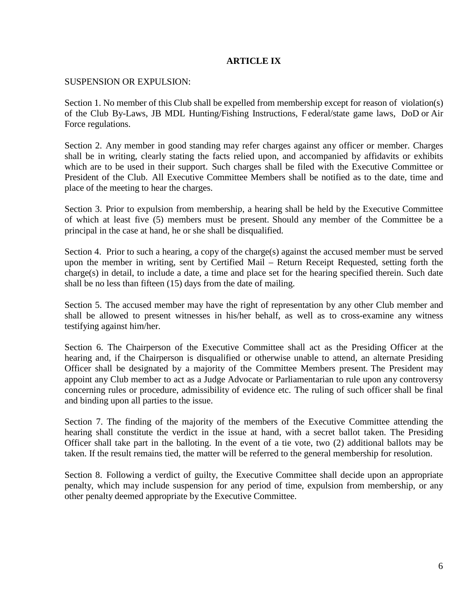# **ARTICLE IX**

#### SUSPENSION OR EXPULSION:

Section 1. No member of this Club shall be expelled from membership except for reason of violation(s) of the Club By-Laws, JB MDL Hunting/Fishing Instructions, F ederal/state game laws, DoD or Air Force regulations.

Section 2. Any member in good standing may refer charges against any officer or member. Charges shall be in writing, clearly stating the facts relied upon, and accompanied by affidavits or exhibits which are to be used in their support. Such charges shall be filed with the Executive Committee or President of the Club. All Executive Committee Members shall be notified as to the date, time and place of the meeting to hear the charges.

Section 3. Prior to expulsion from membership, a hearing shall be held by the Executive Committee of which at least five (5) members must be present. Should any member of the Committee be a principal in the case at hand, he or she shall be disqualified.

Section 4. Prior to such a hearing, a copy of the charge(s) against the accused member must be served upon the member in writing, sent by Certified Mail – Return Receipt Requested, setting forth the charge(s) in detail, to include a date, a time and place set for the hearing specified therein. Such date shall be no less than fifteen (15) days from the date of mailing.

Section 5. The accused member may have the right of representation by any other Club member and shall be allowed to present witnesses in his/her behalf, as well as to cross-examine any witness testifying against him/her.

Section 6. The Chairperson of the Executive Committee shall act as the Presiding Officer at the hearing and, if the Chairperson is disqualified or otherwise unable to attend, an alternate Presiding Officer shall be designated by a majority of the Committee Members present. The President may appoint any Club member to act as a Judge Advocate or Parliamentarian to rule upon any controversy concerning rules or procedure, admissibility of evidence etc. The ruling of such officer shall be final and binding upon all parties to the issue.

Section 7. The finding of the majority of the members of the Executive Committee attending the hearing shall constitute the verdict in the issue at hand, with a secret ballot taken. The Presiding Officer shall take part in the balloting. In the event of a tie vote, two (2) additional ballots may be taken. If the result remains tied, the matter will be referred to the general membership for resolution.

Section 8. Following a verdict of guilty, the Executive Committee shall decide upon an appropriate penalty, which may include suspension for any period of time, expulsion from membership, or any other penalty deemed appropriate by the Executive Committee.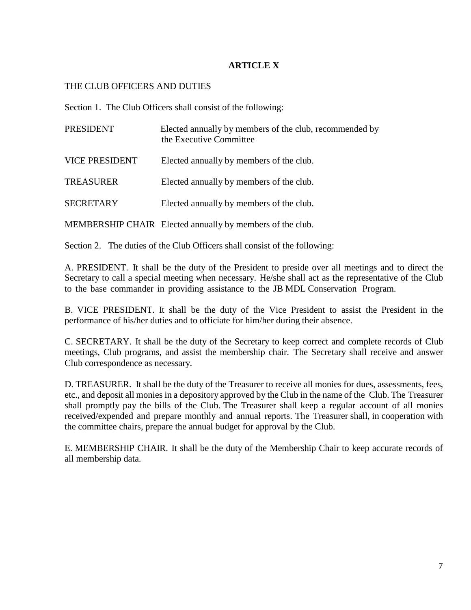# **ARTICLE X**

# THE CLUB OFFICERS AND DUTIES

Section 1. The Club Officers shall consist of the following:

| <b>PRESIDENT</b>      | Elected annually by members of the club, recommended by<br>the Executive Committee |
|-----------------------|------------------------------------------------------------------------------------|
| <b>VICE PRESIDENT</b> | Elected annually by members of the club.                                           |
| <b>TREASURER</b>      | Elected annually by members of the club.                                           |
| <b>SECRETARY</b>      | Elected annually by members of the club.                                           |
|                       | MEMBERSHIP CHAIR Elected annually by members of the club.                          |

Section 2. The duties of the Club Officers shall consist of the following:

A. PRESIDENT. It shall be the duty of the President to preside over all meetings and to direct the Secretary to call a special meeting when necessary. He/she shall act as the representative of the Club to the base commander in providing assistance to the JB MDL Conservation Program.

B. VICE PRESIDENT. It shall be the duty of the Vice President to assist the President in the performance of his/her duties and to officiate for him/her during their absence.

C. SECRETARY. It shall be the duty of the Secretary to keep correct and complete records of Club meetings, Club programs, and assist the membership chair. The Secretary shall receive and answer Club correspondence as necessary.

D. TREASURER. It shall be the duty of the Treasurer to receive all monies for dues, assessments, fees, etc., and deposit all monies in a depository approved by the Club in the name of the Club. The Treasurer shall promptly pay the bills of the Club. The Treasurer shall keep a regular account of all monies received/expended and prepare monthly and annual reports. The Treasurer shall, in cooperation with the committee chairs, prepare the annual budget for approval by the Club.

E. MEMBERSHIP CHAIR. It shall be the duty of the Membership Chair to keep accurate records of all membership data.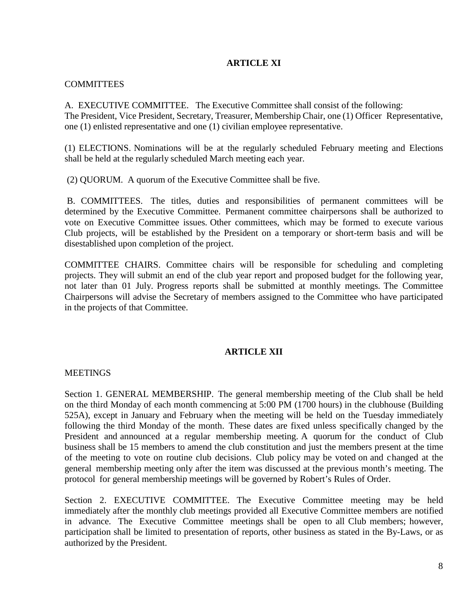# **ARTICLE XI**

## **COMMITTEES**

A. EXECUTIVE COMMITTEE. The Executive Committee shall consist of the following: The President, Vice President, Secretary, Treasurer, Membership Chair, one (1) Officer Representative, one (1) enlisted representative and one (1) civilian employee representative.

(1) ELECTIONS. Nominations will be at the regularly scheduled February meeting and Elections shall be held at the regularly scheduled March meeting each year.

(2) QUORUM. A quorum of the Executive Committee shall be five.

B. COMMITTEES. The titles, duties and responsibilities of permanent committees will be determined by the Executive Committee. Permanent committee chairpersons shall be authorized to vote on Executive Committee issues. Other committees, which may be formed to execute various Club projects, will be established by the President on a temporary or short-term basis and will be disestablished upon completion of the project.

COMMITTEE CHAIRS. Committee chairs will be responsible for scheduling and completing projects. They will submit an end of the club year report and proposed budget for the following year, not later than 01 July. Progress reports shall be submitted at monthly meetings. The Committee Chairpersons will advise the Secretary of members assigned to the Committee who have participated in the projects of that Committee.

# **ARTICLE XII**

## **MEETINGS**

Section 1. GENERAL MEMBERSHIP. The general membership meeting of the Club shall be held on the third Monday of each month commencing at 5:00 PM (1700 hours) in the clubhouse (Building 525A), except in January and February when the meeting will be held on the Tuesday immediately following the third Monday of the month. These dates are fixed unless specifically changed by the President and announced at a regular membership meeting. A quorum for the conduct of Club business shall be 15 members to amend the club constitution and just the members present at the time of the meeting to vote on routine club decisions. Club policy may be voted on and changed at the general membership meeting only after the item was discussed at the previous month's meeting. The protocol for general membership meetings will be governed by Robert's Rules of Order.

Section 2. EXECUTIVE COMMITTEE. The Executive Committee meeting may be held immediately after the monthly club meetings provided all Executive Committee members are notified in advance. The Executive Committee meetings shall be open to all Club members; however, participation shall be limited to presentation of reports, other business as stated in the By-Laws, or as authorized by the President.